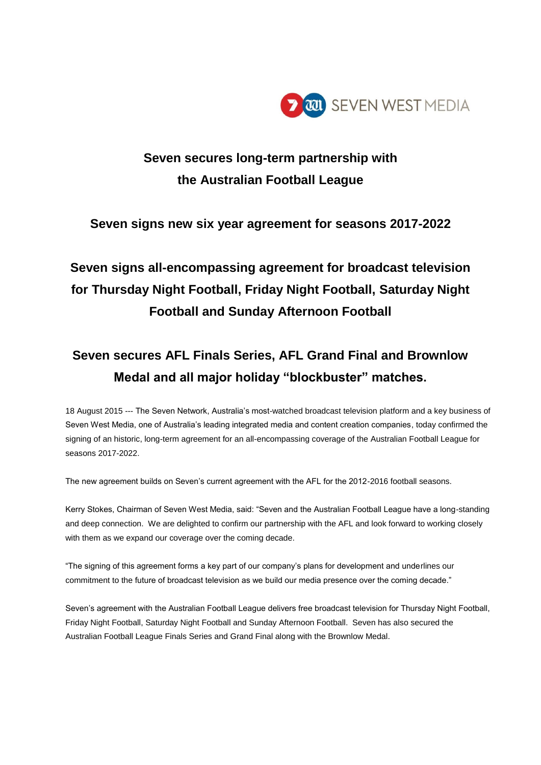

### **Seven secures long-term partnership with the Australian Football League**

### **Seven signs new six year agreement for seasons 2017-2022**

# **Seven signs all-encompassing agreement for broadcast television for Thursday Night Football, Friday Night Football, Saturday Night Football and Sunday Afternoon Football**

## **Seven secures AFL Finals Series, AFL Grand Final and Brownlow Medal and all major holiday "blockbuster" matches.**

18 August 2015 --- The Seven Network, Australia's most-watched broadcast television platform and a key business of Seven West Media, one of Australia's leading integrated media and content creation companies, today confirmed the signing of an historic, long-term agreement for an all-encompassing coverage of the Australian Football League for seasons 2017-2022.

The new agreement builds on Seven's current agreement with the AFL for the 2012-2016 football seasons.

Kerry Stokes, Chairman of Seven West Media, said: "Seven and the Australian Football League have a long-standing and deep connection. We are delighted to confirm our partnership with the AFL and look forward to working closely with them as we expand our coverage over the coming decade.

"The signing of this agreement forms a key part of our company's plans for development and underlines our commitment to the future of broadcast television as we build our media presence over the coming decade."

Seven's agreement with the Australian Football League delivers free broadcast television for Thursday Night Football, Friday Night Football, Saturday Night Football and Sunday Afternoon Football. Seven has also secured the Australian Football League Finals Series and Grand Final along with the Brownlow Medal.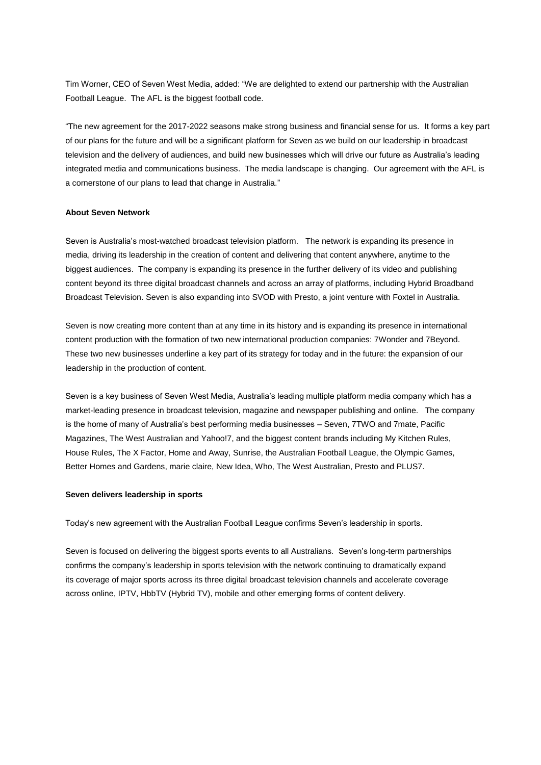Tim Worner, CEO of Seven West Media, added: "We are delighted to extend our partnership with the Australian Football League. The AFL is the biggest football code.

"The new agreement for the 2017-2022 seasons make strong business and financial sense for us. It forms a key part of our plans for the future and will be a significant platform for Seven as we build on our leadership in broadcast television and the delivery of audiences, and build new businesses which will drive our future as Australia's leading integrated media and communications business. The media landscape is changing. Our agreement with the AFL is a cornerstone of our plans to lead that change in Australia."

#### **About Seven Network**

Seven is Australia's most-watched broadcast television platform. The network is expanding its presence in media, driving its leadership in the creation of content and delivering that content anywhere, anytime to the biggest audiences. The company is expanding its presence in the further delivery of its video and publishing content beyond its three digital broadcast channels and across an array of platforms, including Hybrid Broadband Broadcast Television. Seven is also expanding into SVOD with Presto, a joint venture with Foxtel in Australia.

Seven is now creating more content than at any time in its history and is expanding its presence in international content production with the formation of two new international production companies: 7Wonder and 7Beyond. These two new businesses underline a key part of its strategy for today and in the future: the expansion of our leadership in the production of content.

Seven is a key business of Seven West Media, Australia's leading multiple platform media company which has a market-leading presence in broadcast television, magazine and newspaper publishing and online. The company is the home of many of Australia's best performing media businesses – Seven, 7TWO and 7mate, Pacific Magazines, The West Australian and Yahoo!7, and the biggest content brands including My Kitchen Rules, House Rules, The X Factor, Home and Away, Sunrise, the Australian Football League, the Olympic Games, Better Homes and Gardens, marie claire, New Idea, Who, The West Australian, Presto and PLUS7.

#### **Seven delivers leadership in sports**

Today's new agreement with the Australian Football League confirms Seven's leadership in sports.

Seven is focused on delivering the biggest sports events to all Australians. Seven's long-term partnerships confirms the company's leadership in sports television with the network continuing to dramatically expand its coverage of major sports across its three digital broadcast television channels and accelerate coverage across online, IPTV, HbbTV (Hybrid TV), mobile and other emerging forms of content delivery.